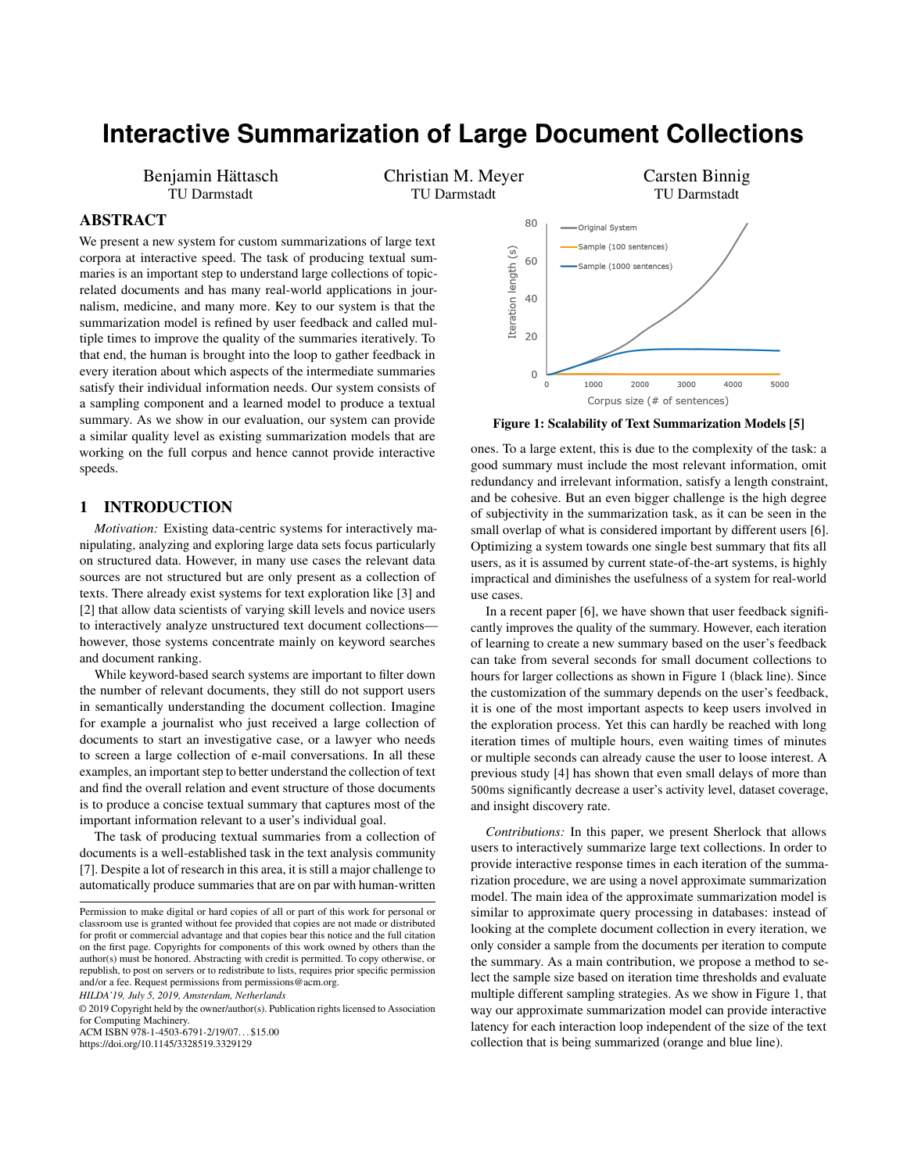# **Interactive Summarization of Large Document Collections**

Benjamin Hättasch TU Darmstadt

Christian M. Meyer TU Darmstadt

## ABSTRACT

We present a new system for custom summarizations of large text corpora at interactive speed. The task of producing textual summaries is an important step to understand large collections of topicrelated documents and has many real-world applications in journalism, medicine, and many more. Key to our system is that the summarization model is refined by user feedback and called multiple times to improve the quality of the summaries iteratively. To that end, the human is brought into the loop to gather feedback in every iteration about which aspects of the intermediate summaries satisfy their individual information needs. Our system consists of a sampling component and a learned model to produce a textual summary. As we show in our evaluation, our system can provide a similar quality level as existing summarization models that are working on the full corpus and hence cannot provide interactive speeds.

#### 1 INTRODUCTION

*Motivation:* Existing data-centric systems for interactively manipulating, analyzing and exploring large data sets focus particularly on structured data. However, in many use cases the relevant data sources are not structured but are only present as a collection of texts. There already exist systems for text exploration like [\[3\]](#page-3-0) and [\[2\]](#page-3-1) that allow data scientists of varying skill levels and novice users to interactively analyze unstructured text document collections however, those systems concentrate mainly on keyword searches and document ranking.

While keyword-based search systems are important to filter down the number of relevant documents, they still do not support users in semantically understanding the document collection. Imagine for example a journalist who just received a large collection of documents to start an investigative case, or a lawyer who needs to screen a large collection of e-mail conversations. In all these examples, an important step to better understand the collection of text and find the overall relation and event structure of those documents is to produce a concise textual summary that captures most of the important information relevant to a user's individual goal.

The task of producing textual summaries from a collection of documents is a well-established task in the text analysis community [\[7\]](#page-3-2). Despite a lot of research in this area, it is still a major challenge to automatically produce summaries that are on par with human-written

© 2019 Copyright held by the owner/author(s). Publication rights licensed to Association for Computing Machinery. ACM ISBN 978-1-4503-6791-2/19/07. . . \$15.00

<https://doi.org/10.1145/3328519.3329129>

<span id="page-0-0"></span>

Figure 1: Scalability of Text Summarization Models [\[5\]](#page-3-3)

ones. To a large extent, this is due to the complexity of the task: a good summary must include the most relevant information, omit redundancy and irrelevant information, satisfy a length constraint, and be cohesive. But an even bigger challenge is the high degree of subjectivity in the summarization task, as it can be seen in the small overlap of what is considered important by different users [\[6\]](#page-3-4). Optimizing a system towards one single best summary that fits all users, as it is assumed by current state-of-the-art systems, is highly impractical and diminishes the usefulness of a system for real-world use cases.

In a recent paper [\[6\]](#page-3-4), we have shown that user feedback significantly improves the quality of the summary. However, each iteration of learning to create a new summary based on the user's feedback can take from several seconds for small document collections to hours for larger collections as shown in Figure [1](#page-0-0) (black line). Since the customization of the summary depends on the user's feedback, it is one of the most important aspects to keep users involved in the exploration process. Yet this can hardly be reached with long iteration times of multiple hours, even waiting times of minutes or multiple seconds can already cause the user to loose interest. A previous study [\[4\]](#page-3-5) has shown that even small delays of more than 500ms significantly decrease a user's activity level, dataset coverage, and insight discovery rate.

*Contributions:* In this paper, we present Sherlock that allows users to interactively summarize large text collections. In order to provide interactive response times in each iteration of the summarization procedure, we are using a novel approximate summarization model. The main idea of the approximate summarization model is similar to approximate query processing in databases: instead of looking at the complete document collection in every iteration, we only consider a sample from the documents per iteration to compute the summary. As a main contribution, we propose a method to select the sample size based on iteration time thresholds and evaluate multiple different sampling strategies. As we show in Figure [1,](#page-0-0) that way our approximate summarization model can provide interactive latency for each interaction loop independent of the size of the text collection that is being summarized (orange and blue line).

Permission to make digital or hard copies of all or part of this work for personal or classroom use is granted without fee provided that copies are not made or distributed for profit or commercial advantage and that copies bear this notice and the full citation on the first page. Copyrights for components of this work owned by others than the author(s) must be honored. Abstracting with credit is permitted. To copy otherwise, or republish, to post on servers or to redistribute to lists, requires prior specific permission and/or a fee. Request permissions from permissions@acm.org *HILDA'19, July 5, 2019, Amsterdam, Netherlands*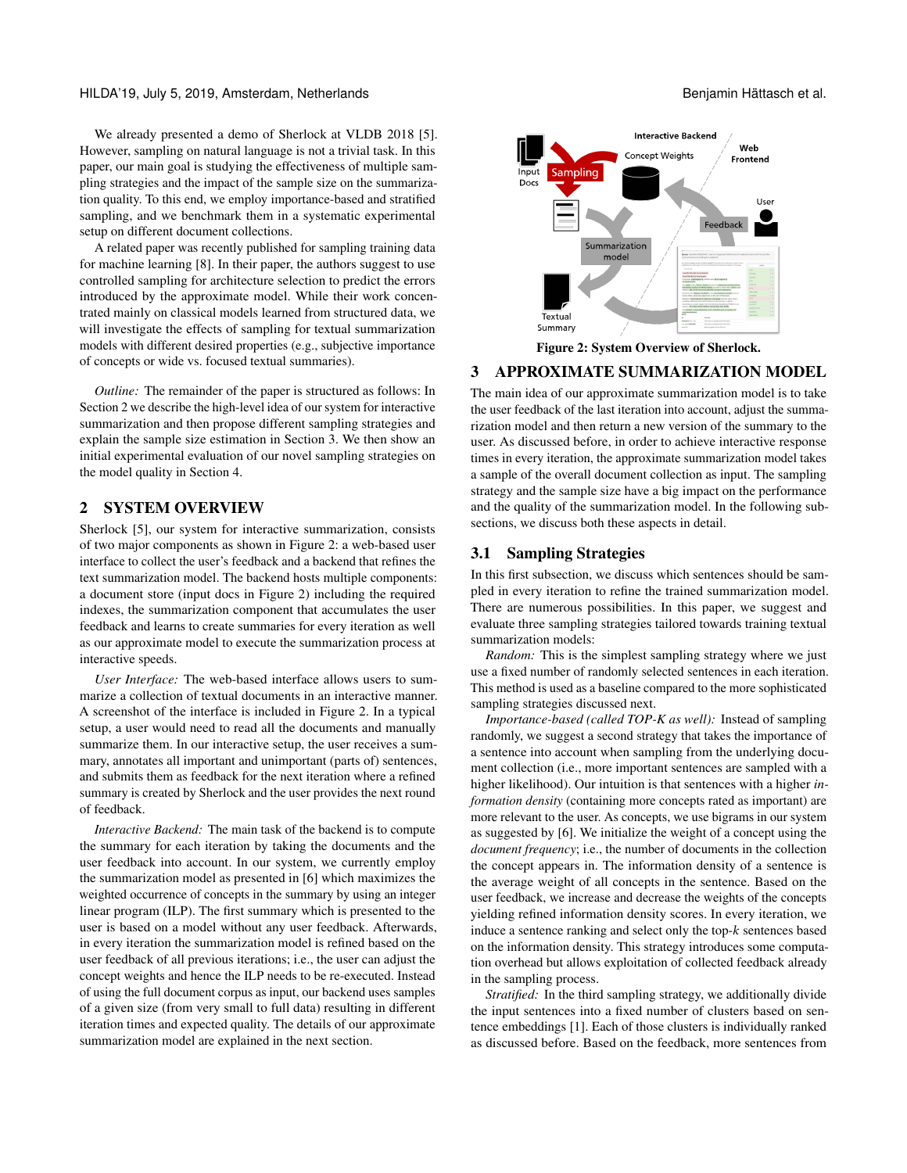#### HILDA'19, July 5, 2019, Amsterdam, Netherlands Benjamin Hättasch et al.

We already presented a demo of Sherlock at VLDB 2018 [\[5\]](#page-3-3). However, sampling on natural language is not a trivial task. In this paper, our main goal is studying the effectiveness of multiple sampling strategies and the impact of the sample size on the summarization quality. To this end, we employ importance-based and stratified sampling, and we benchmark them in a systematic experimental setup on different document collections.

A related paper was recently published for sampling training data for machine learning [\[8\]](#page-3-6). In their paper, the authors suggest to use controlled sampling for architecture selection to predict the errors introduced by the approximate model. While their work concentrated mainly on classical models learned from structured data, we will investigate the effects of sampling for textual summarization models with different desired properties (e.g., subjective importance of concepts or wide vs. focused textual summaries).

*Outline:* The remainder of the paper is structured as follows: In Section [2](#page-1-0) we describe the high-level idea of our system for interactive summarization and then propose different sampling strategies and explain the sample size estimation in Section [3.](#page-1-1) We then show an initial experimental evaluation of our novel sampling strategies on the model quality in Section [4.](#page-2-0)

### <span id="page-1-0"></span>2 SYSTEM OVERVIEW

Sherlock [\[5\]](#page-3-3), our system for interactive summarization, consists of two major components as shown in Figure [2:](#page-1-2) a web-based user interface to collect the user's feedback and a backend that refines the text summarization model. The backend hosts multiple components: a document store (input docs in Figure [2\)](#page-1-2) including the required indexes, the summarization component that accumulates the user feedback and learns to create summaries for every iteration as well as our approximate model to execute the summarization process at interactive speeds.

*User Interface:* The web-based interface allows users to summarize a collection of textual documents in an interactive manner. A screenshot of the interface is included in Figure [2.](#page-1-2) In a typical setup, a user would need to read all the documents and manually summarize them. In our interactive setup, the user receives a summary, annotates all important and unimportant (parts of) sentences, and submits them as feedback for the next iteration where a refined summary is created by Sherlock and the user provides the next round of feedback.

*Interactive Backend:* The main task of the backend is to compute the summary for each iteration by taking the documents and the user feedback into account. In our system, we currently employ the summarization model as presented in [\[6\]](#page-3-4) which maximizes the weighted occurrence of concepts in the summary by using an integer linear program (ILP). The first summary which is presented to the user is based on a model without any user feedback. Afterwards, in every iteration the summarization model is refined based on the user feedback of all previous iterations; i.e., the user can adjust the concept weights and hence the ILP needs to be re-executed. Instead of using the full document corpus as input, our backend uses samples of a given size (from very small to full data) resulting in different iteration times and expected quality. The details of our approximate summarization model are explained in the next section.

<span id="page-1-2"></span>

Figure 2: System Overview of Sherlock.

# <span id="page-1-1"></span>3 APPROXIMATE SUMMARIZATION MODEL

The main idea of our approximate summarization model is to take the user feedback of the last iteration into account, adjust the summarization model and then return a new version of the summary to the user. As discussed before, in order to achieve interactive response times in every iteration, the approximate summarization model takes a sample of the overall document collection as input. The sampling strategy and the sample size have a big impact on the performance and the quality of the summarization model. In the following subsections, we discuss both these aspects in detail.

#### 3.1 Sampling Strategies

In this first subsection, we discuss which sentences should be sampled in every iteration to refine the trained summarization model. There are numerous possibilities. In this paper, we suggest and evaluate three sampling strategies tailored towards training textual summarization models:

*Random:* This is the simplest sampling strategy where we just use a fixed number of randomly selected sentences in each iteration. This method is used as a baseline compared to the more sophisticated sampling strategies discussed next.

*Importance-based (called TOP-K as well):* Instead of sampling randomly, we suggest a second strategy that takes the importance of a sentence into account when sampling from the underlying document collection (i.e., more important sentences are sampled with a higher likelihood). Our intuition is that sentences with a higher *information density* (containing more concepts rated as important) are more relevant to the user. As concepts, we use bigrams in our system as suggested by [\[6\]](#page-3-4). We initialize the weight of a concept using the *document frequency*; i.e., the number of documents in the collection the concept appears in. The information density of a sentence is the average weight of all concepts in the sentence. Based on the user feedback, we increase and decrease the weights of the concepts yielding refined information density scores. In every iteration, we induce a sentence ranking and select only the top-k sentences based on the information density. This strategy introduces some computation overhead but allows exploitation of collected feedback already in the sampling process.

*Stratified:* In the third sampling strategy, we additionally divide the input sentences into a fixed number of clusters based on sentence embeddings [\[1\]](#page-3-7). Each of those clusters is individually ranked as discussed before. Based on the feedback, more sentences from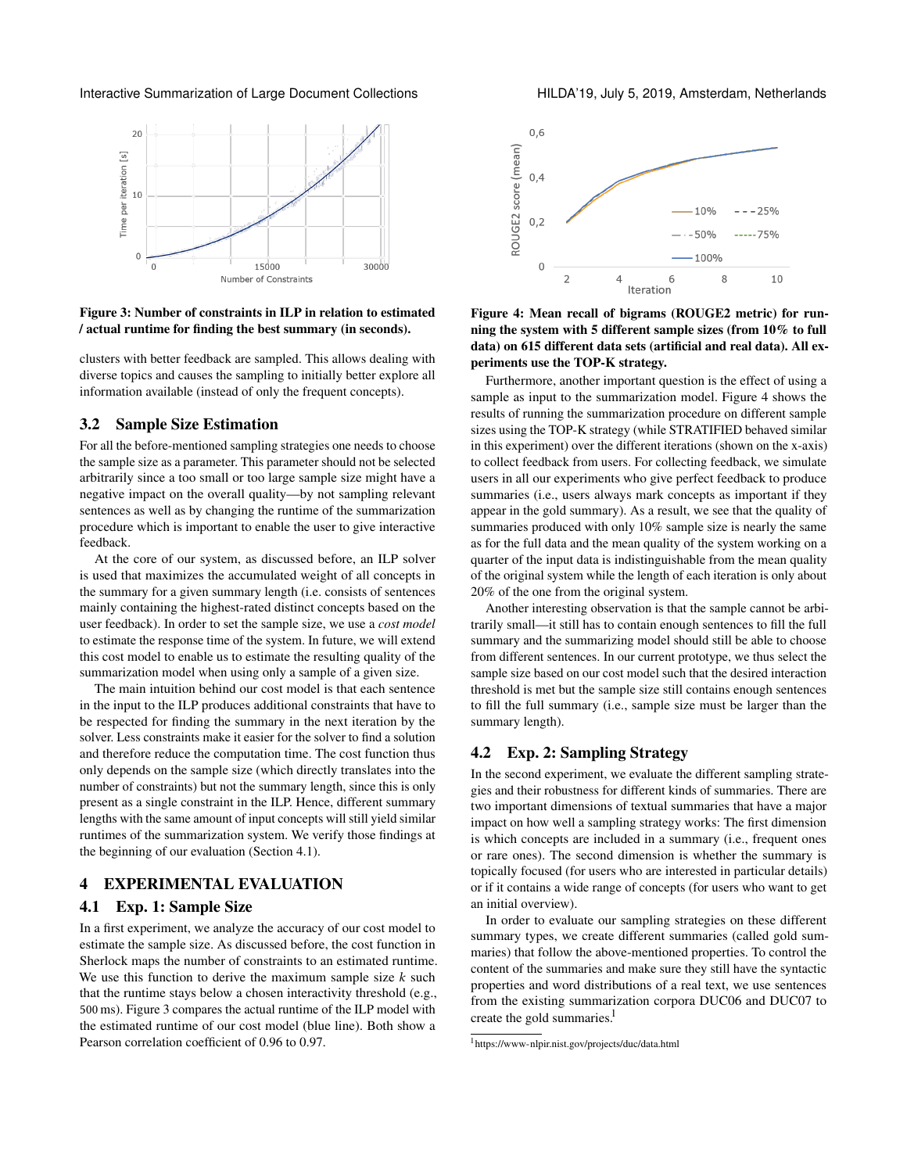<span id="page-2-2"></span>Interactive Summarization of Large Document Collections Fig. 2019, July 5, 2019, Amsterdam, Netherlands



Figure 3: Number of constraints in ILP in relation to estimated / actual runtime for finding the best summary (in seconds).

clusters with better feedback are sampled. This allows dealing with diverse topics and causes the sampling to initially better explore all information available (instead of only the frequent concepts).

#### 3.2 Sample Size Estimation

For all the before-mentioned sampling strategies one needs to choose the sample size as a parameter. This parameter should not be selected arbitrarily since a too small or too large sample size might have a negative impact on the overall quality—by not sampling relevant sentences as well as by changing the runtime of the summarization procedure which is important to enable the user to give interactive feedback.

At the core of our system, as discussed before, an ILP solver is used that maximizes the accumulated weight of all concepts in the summary for a given summary length (i.e. consists of sentences mainly containing the highest-rated distinct concepts based on the user feedback). In order to set the sample size, we use a *cost model* to estimate the response time of the system. In future, we will extend this cost model to enable us to estimate the resulting quality of the summarization model when using only a sample of a given size.

The main intuition behind our cost model is that each sentence in the input to the ILP produces additional constraints that have to be respected for finding the summary in the next iteration by the solver. Less constraints make it easier for the solver to find a solution and therefore reduce the computation time. The cost function thus only depends on the sample size (which directly translates into the number of constraints) but not the summary length, since this is only present as a single constraint in the ILP. Hence, different summary lengths with the same amount of input concepts will still yield similar runtimes of the summarization system. We verify those findings at the beginning of our evaluation (Section [4.1\)](#page-2-1).

#### <span id="page-2-0"></span>4 EXPERIMENTAL EVALUATION

#### <span id="page-2-1"></span>4.1 Exp. 1: Sample Size

In a first experiment, we analyze the accuracy of our cost model to estimate the sample size. As discussed before, the cost function in Sherlock maps the number of constraints to an estimated runtime. We use this function to derive the maximum sample size  $k$  such that the runtime stays below a chosen interactivity threshold (e.g., 500 ms). Figure [3](#page-2-2) compares the actual runtime of the ILP model with the estimated runtime of our cost model (blue line). Both show a Pearson correlation coefficient of 0.96 to 0.97.

<span id="page-2-3"></span>



Furthermore, another important question is the effect of using a sample as input to the summarization model. Figure [4](#page-2-3) shows the results of running the summarization procedure on different sample sizes using the TOP-K strategy (while STRATIFIED behaved similar in this experiment) over the different iterations (shown on the x-axis) to collect feedback from users. For collecting feedback, we simulate users in all our experiments who give perfect feedback to produce summaries (i.e., users always mark concepts as important if they appear in the gold summary). As a result, we see that the quality of summaries produced with only 10% sample size is nearly the same as for the full data and the mean quality of the system working on a quarter of the input data is indistinguishable from the mean quality of the original system while the length of each iteration is only about 20% of the one from the original system.

Another interesting observation is that the sample cannot be arbitrarily small—it still has to contain enough sentences to fill the full summary and the summarizing model should still be able to choose from different sentences. In our current prototype, we thus select the sample size based on our cost model such that the desired interaction threshold is met but the sample size still contains enough sentences to fill the full summary (i.e., sample size must be larger than the summary length).

# 4.2 Exp. 2: Sampling Strategy

In the second experiment, we evaluate the different sampling strategies and their robustness for different kinds of summaries. There are two important dimensions of textual summaries that have a major impact on how well a sampling strategy works: The first dimension is which concepts are included in a summary (i.e., frequent ones or rare ones). The second dimension is whether the summary is topically focused (for users who are interested in particular details) or if it contains a wide range of concepts (for users who want to get an initial overview).

In order to evaluate our sampling strategies on these different summary types, we create different summaries (called gold summaries) that follow the above-mentioned properties. To control the content of the summaries and make sure they still have the syntactic properties and word distributions of a real text, we use sentences from the existing summarization corpora DUC06 and DUC07 to create the gold summaries.<sup>[1](#page-2-4)</sup>

<span id="page-2-4"></span><sup>1</sup> <https://www-nlpir.nist.gov/projects/duc/data.html>